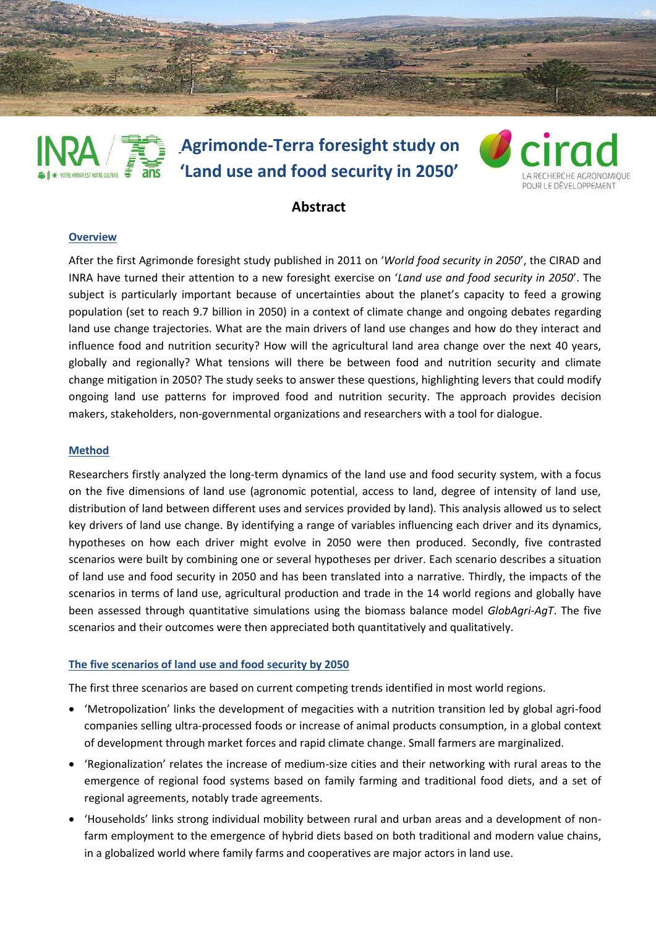

# **Agrimonde-Terra foresight study on 'Land use and food security in 2050' RE AVENIR EST NOTRE CULTURE**



# **Abstract**

#### **Overview**

After the first Agrimonde foresight study published in 2011 on '*World food security in 2050*', the CIRAD and INRA have turned their attention to a new foresight exercise on '*Land use and food security in 2050*'. The subject is particularly important because of uncertainties about the planet's capacity to feed a growing population (set to reach 9.7 billion in 2050) in a context of climate change and ongoing debates regarding land use change trajectories. What are the main drivers of land use changes and how do they interact and influence food and nutrition security? How will the agricultural land area change over the next 40 years, globally and regionally? What tensions will there be between food and nutrition security and climate change mitigation in 2050? The study seeks to answer these questions, highlighting levers that could modify ongoing land use patterns for improved food and nutrition security. The approach provides decision makers, stakeholders, non-governmental organizations and researchers with a tool for dialogue.

### **Method**

Researchers firstly analyzed the long-term dynamics of the land use and food security system, with a focus on the five dimensions of land use (agronomic potential, access to land, degree of intensity of land use, distribution of land between different uses and services provided by land). This analysis allowed us to select key drivers of land use change. By identifying a range of variables influencing each driver and its dynamics, hypotheses on how each driver might evolve in 2050 were then produced. Secondly, five contrasted scenarios were built by combining one or several hypotheses per driver. Each scenario describes a situation of land use and food security in 2050 and has been translated into a narrative. Thirdly, the impacts of the scenarios in terms of land use, agricultural production and trade in the 14 world regions and globally have been assessed through quantitative simulations using the biomass balance model *GlobAgri-AgT*. The five scenarios and their outcomes were then appreciated both quantitatively and qualitatively.

## **The five scenarios of land use and food security by 2050**

The first three scenarios are based on current competing trends identified in most world regions.

- 'Metropolization' links the development of megacities with a nutrition transition led by global agri-food companies selling ultra-processed foods or increase of animal products consumption, in a global context of development through market forces and rapid climate change. Small farmers are marginalized.
- 'Regionalization' relates the increase of medium-size cities and their networking with rural areas to the emergence of regional food systems based on family farming and traditional food diets, and a set of regional agreements, notably trade agreements.
- 'Households' links strong individual mobility between rural and urban areas and a development of nonfarm employment to the emergence of hybrid diets based on both traditional and modern value chains, in a globalized world where family farms and cooperatives are major actors in land use.